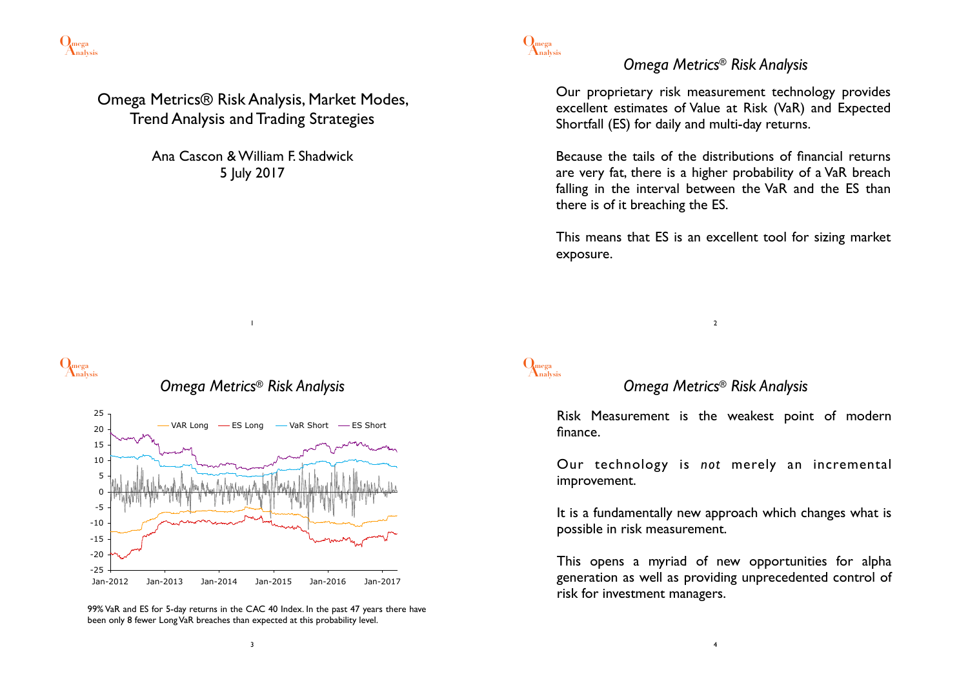

Omega Metrics® Risk Analysis, Market Modes, Trend Analysis and Trading Strategies

> Ana Cascon & William F. Shadwick 5 July 2017

> > 1





<sup>99%</sup> VaR and ES for 5-day returns in the CAC 40 Index. In the past 47 years there have been only 8 fewer Long VaR breaches than expected at this probability level.

**Analysis Omega**

**Analysis Omega**

#### *Omega Metrics® Risk Analysis*

Our proprietary risk measurement technology provides excellent estimates of Value at Risk (VaR) and Expected Shortfall (ES) for daily and multi-day returns.

Because the tails of the distributions of financial returns are very fat, there is a higher probability of a VaR breach falling in the interval between the VaR and the ES than there is of it breaching the ES.

This means that ES is an excellent tool for sizing market exposure.

#### *Omega Metrics® Risk Analysis*

2

Risk Measurement is the weakest point of modern finance.

Our technology is *not* merely an incremental improvement.

It is a fundamentally new approach which changes what is possible in risk measurement.

This opens a myriad of new opportunities for alpha generation as well as providing unprecedented control of risk for investment managers.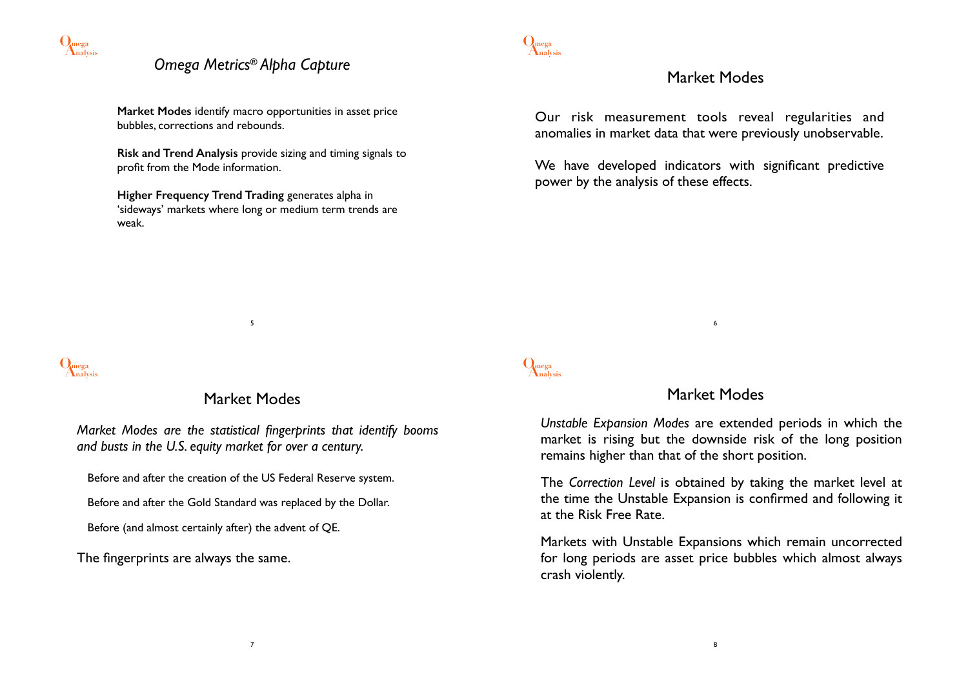

### *Omega Metrics® Alpha Capture*

**Market Modes** identify macro opportunities in asset price bubbles, corrections and rebounds.

**Risk and Trend Analysis** provide sizing and timing signals to profit from the Mode information.

**Higher Frequency Trend Trading** generates alpha in 'sideways' markets where long or medium term trends are weak.



#### Market Modes

Our risk measurement tools reveal regularities and anomalies in market data that were previously unobservable.

We have developed indicators with significant predictive power by the analysis of these effects.



### Market Modes

5

*Market Modes are the statistical fingerprints that identify booms and busts in the U.S. equity market for over a century.*

Before and after the creation of the US Federal Reserve system.

Before and after the Gold Standard was replaced by the Dollar.

Before (and almost certainly after) the advent of QE.

The fingerprints are always the same.

# **Analysis Omega**

### Market Modes

6

*Unstable Expansion Modes* are extended periods in which the market is rising but the downside risk of the long position remains higher than that of the short position.

The *Correction Level* is obtained by taking the market level at the time the Unstable Expansion is confirmed and following it at the Risk Free Rate.

Markets with Unstable Expansions which remain uncorrected for long periods are asset price bubbles which almost always crash violently.

7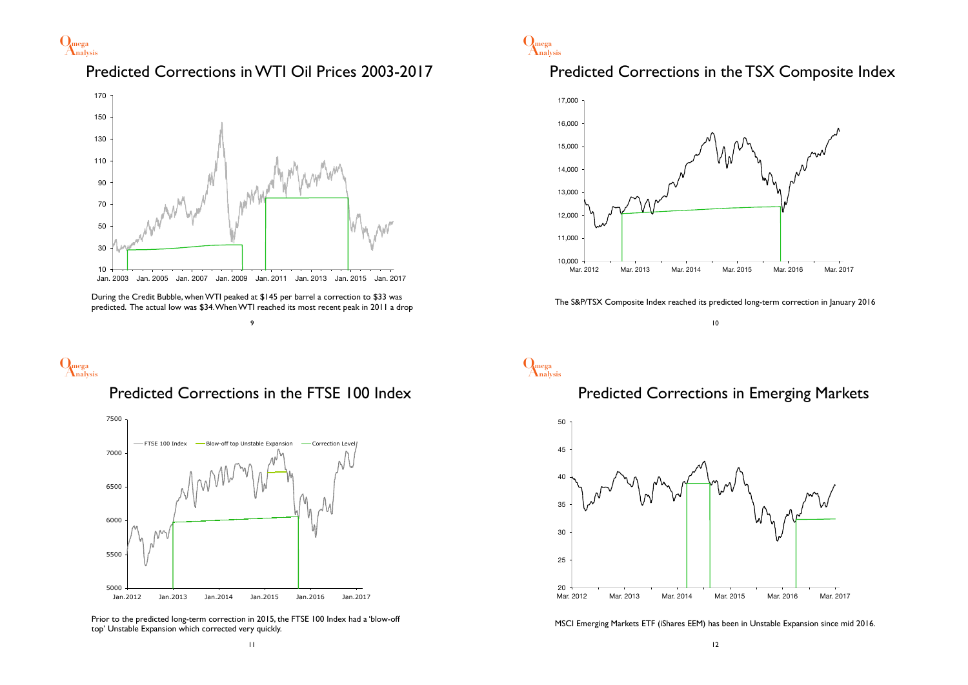

### Predicted Corrections in WTI Oil Prices 2003-2017



During the Credit Bubble, when WTI peaked at \$145 per barrel a correction to \$33 was predicted. The actual low was \$34. When WTI reached its most recent peak in 2011 a drop



# **Analysis Omega**





Prior to the predicted long-term correction in 2015, the FTSE 100 Index had a 'blow-off top' Unstable Expansion which corrected very quickly.



#### Predicted Corrections in the TSX Composite Index



The S&P/TSX Composite Index reached its predicted long-term correction in January 2016

10

# **Analysis Omega**

#### Predicted Corrections in Emerging Markets



MSCI Emerging Markets ETF (iShares EEM) has been in Unstable Expansion since mid 2016.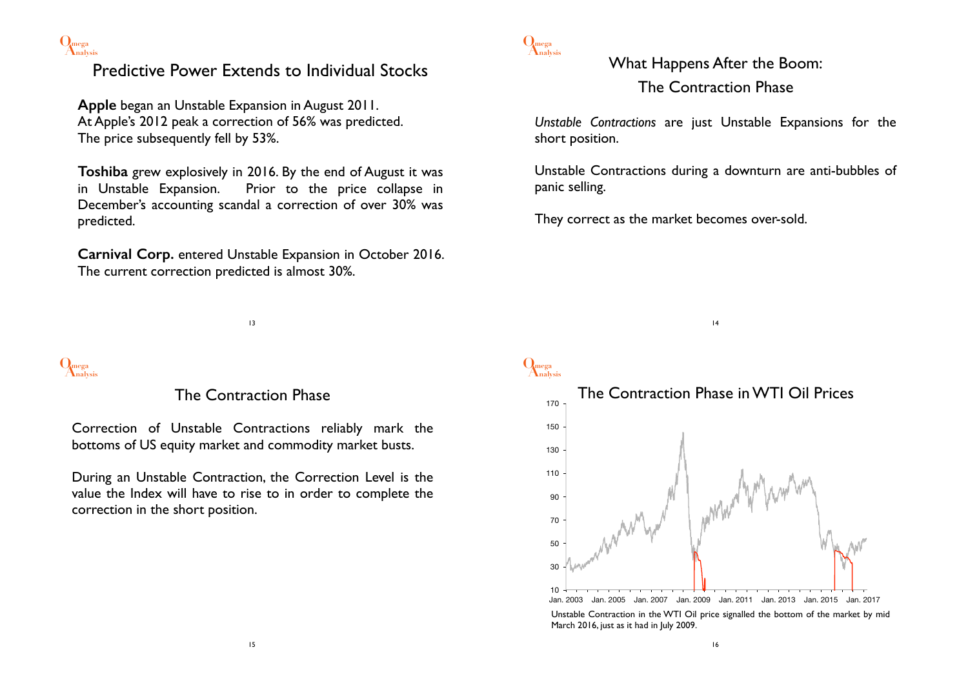

## Predictive Power Extends to Individual Stocks

**Apple** began an Unstable Expansion in August 2011. At Apple's 2012 peak a correction of 56% was predicted. The price subsequently fell by 53%.

**Toshiba** grew explosively in 2016. By the end of August it was in Unstable Expansion. Prior to the price collapse in December's accounting scandal a correction of over 30% was predicted.

**Carnival Corp.** entered Unstable Expansion in October 2016. The current correction predicted is almost 30%.

13



#### The Contraction Phase

Correction of Unstable Contractions reliably mark the bottoms of US equity market and commodity market busts.

During an Unstable Contraction, the Correction Level is the value the Index will have to rise to in order to complete the correction in the short position.



What Happens After the Boom: The Contraction Phase

*Unstable Contractions* are just Unstable Expansions for the short position.

Unstable Contractions during a downturn are anti-bubbles of panic selling.

14

They correct as the market becomes over-sold.



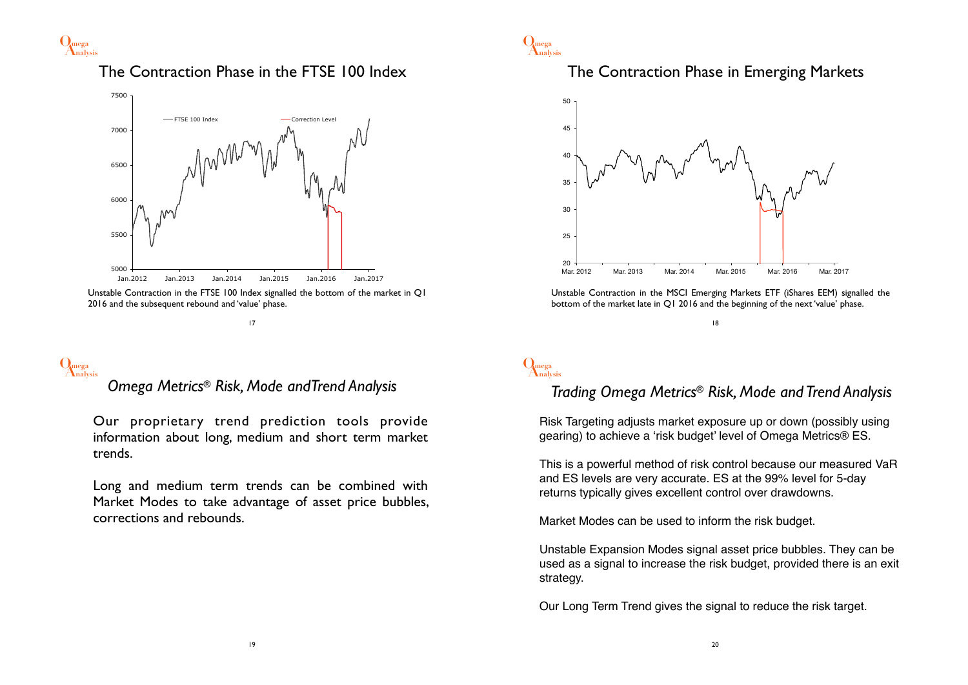

### The Contraction Phase in the FTSE 100 Index



Unstable Contraction in the FTSE 100 Index signalled the bottom of the market in Q1 2016 and the subsequent rebound and 'value' phase.

17

# **Analysis Omega**

### *Omega Metrics® Risk, Mode andTrend Analysis*

Our proprietary trend prediction tools provide information about long, medium and short term market trends.

Long and medium term trends can be combined with Market Modes to take advantage of asset price bubbles, corrections and rebounds.



#### The Contraction Phase in Emerging Markets



Unstable Contraction in the MSCI Emerging Markets ETF (iShares EEM) signalled the bottom of the market late in Q1 2016 and the beginning of the next 'value' phase.

#### 18

# **Analysis Omega**

#### *Trading Omega Metrics® Risk, Mode and Trend Analysis*

Risk Targeting adjusts market exposure up or down (possibly using gearing) to achieve a 'risk budget' level of Omega Metrics® ES.

This is a powerful method of risk control because our measured VaR and ES levels are very accurate. ES at the 99% level for 5-day returns typically gives excellent control over drawdowns.

Market Modes can be used to inform the risk budget.

Unstable Expansion Modes signal asset price bubbles. They can be used as a signal to increase the risk budget, provided there is an exit strategy.

Our Long Term Trend gives the signal to reduce the risk target.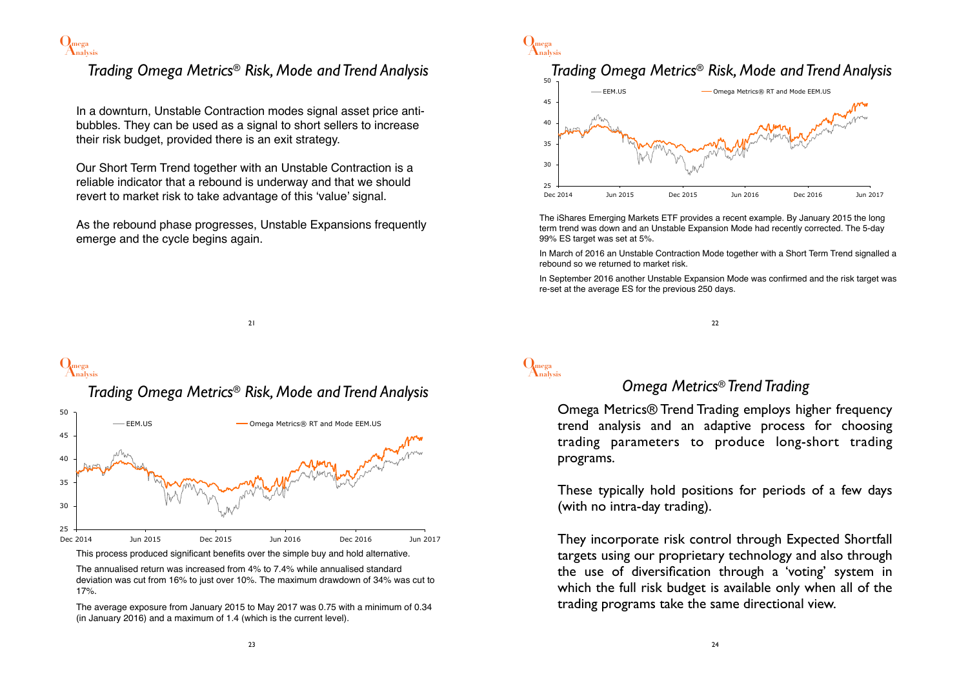

### *Trading Omega Metrics® Risk, Mode and Trend Analysis*

In a downturn, Unstable Contraction modes signal asset price antibubbles. They can be used as a signal to short sellers to increase their risk budget, provided there is an exit strategy.

Our Short Term Trend together with an Unstable Contraction is a reliable indicator that a rebound is underway and that we should revert to market risk to take advantage of this 'value' signal.

As the rebound phase progresses, Unstable Expansions frequently emerge and the cycle begins again.

21



# **Analysis Omega**

*Trading Omega Metrics® Risk, Mode and Trend Analysis*



The annualised return was increased from 4% to 7.4% while annualised standard deviation was cut from 16% to just over 10%. The maximum drawdown of 34% was cut to 17%.

The average exposure from January 2015 to May 2017 was 0.75 with a minimum of 0.34 (in January 2016) and a maximum of 1.4 (which is the current level).



The iShares Emerging Markets ETF provides a recent example. By January 2015 the long term trend was down and an Unstable Expansion Mode had recently corrected. The 5-day 99% ES target was set at 5%.

In March of 2016 an Unstable Contraction Mode together with a Short Term Trend signalled a rebound so we returned to market risk.

In September 2016 another Unstable Expansion Mode was confirmed and the risk target was re-set at the average ES for the previous 250 days.

22

# **Analysis Omega**

#### *Omega Metrics® Trend Trading*

Omega Metrics® Trend Trading employs higher frequency trend analysis and an adaptive process for choosing trading parameters to produce long-short trading programs.

These typically hold positions for periods of a few days (with no intra-day trading).

They incorporate risk control through Expected Shortfall targets using our proprietary technology and also through the use of diversification through a 'voting' system in which the full risk budget is available only when all of the trading programs take the same directional view.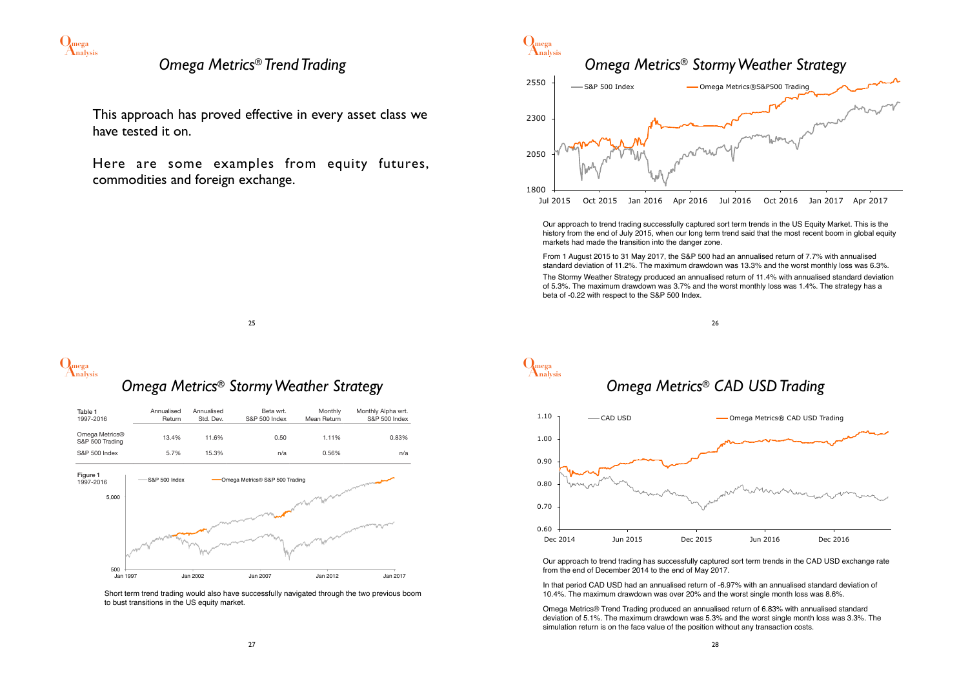

#### *Omega Metrics® Trend Trading*

This approach has proved effective in every asset class we have tested it on.

Here are some examples from equity futures, commodities and foreign exchange.



Our approach to trend trading successfully captured sort term trends in the US Equity Market. This is the history from the end of July 2015, when our long term trend said that the most recent boom in global equity markets had made the transition into the danger zone.

From 1 August 2015 to 31 May 2017, the S&P 500 had an annualised return of 7.7% with annualised standard deviation of 11.2%. The maximum drawdown was 13.3% and the worst monthly loss was 6.3%. The Stormy Weather Strategy produced an annualised return of 11.4% with annualised standard deviation of 5.3%. The maximum drawdown was 3.7% and the worst monthly loss was 1.4%. The strategy has a beta of -0.22 with respect to the S&P 500 Index.

25

# **Analysis Omega**

### *Omega Metrics® Stormy Weather Strategy*

| Table 1<br>1997-2016              | Annualised<br>Return | Annualised<br>Std. Dev. | Beta wrt.<br>S&P 500 Index     | Monthly<br>Mean Return | Monthly Alpha wrt.<br>S&P 500 Index |
|-----------------------------------|----------------------|-------------------------|--------------------------------|------------------------|-------------------------------------|
| Omega Metrics®<br>S&P 500 Trading | 13.4%                | 11.6%                   | 0.50                           | 1.11%                  | 0.83%                               |
| S&P 500 Index                     | 5.7%                 | 15.3%                   | n/a                            | 0.56%                  | n/a                                 |
| Figure 1<br>1997-2016             | S&P 500 Index        |                         | Omega Metrics® S&P 500 Trading |                        |                                     |
| 5,000                             |                      |                         |                                |                        |                                     |
|                                   |                      |                         |                                |                        |                                     |
| 500                               |                      |                         |                                |                        |                                     |
| Jan 1997                          |                      | Jan 2002                | Jan 2007                       | Jan 2012               | Jan 2017                            |

Short term trend trading would also have successfully navigated through the two previous boom to bust transitions in the US equity market.



# **Analysis Omega** *Omega Metrics® CAD USD Trading* 0.60 0.70 0.80 0.90 1.00 1.10 Dec 2014 Jun 2015 Dec 2015 Jun 2016 Dec 2016 **EXAD USD** Omega Metrics® CAD USD Trading

Our approach to trend trading has successfully captured sort term trends in the CAD USD exchange rate from the end of December 2014 to the end of May 2017.

In that period CAD USD had an annualised return of -6.97% with an annualised standard deviation of 10.4%. The maximum drawdown was over 20% and the worst single month loss was 8.6%.

Omega Metrics® Trend Trading produced an annualised return of 6.83% with annualised standard deviation of 5.1%. The maximum drawdown was 5.3% and the worst single month loss was 3.3%. The simulation return is on the face value of the position without any transaction costs.